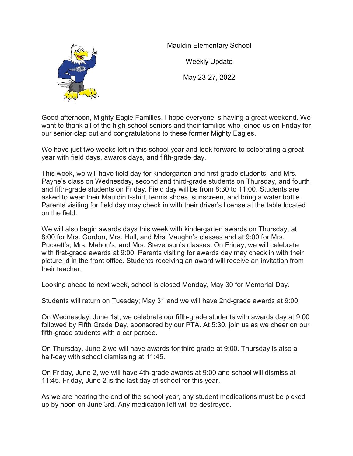

Mauldin Elementary School

Weekly Update May 23-27, 2022

Good afternoon, Mighty Eagle Families. I hope everyone is having a great weekend. We want to thank all of the high school seniors and their families who joined us on Friday for our senior clap out and congratulations to these former Mighty Eagles.

We have just two weeks left in this school year and look forward to celebrating a great year with field days, awards days, and fifth-grade day.

This week, we will have field day for kindergarten and first-grade students, and Mrs. Payne's class on Wednesday, second and third-grade students on Thursday, and fourth and fifth-grade students on Friday. Field day will be from 8:30 to 11:00. Students are asked to wear their Mauldin t-shirt, tennis shoes, sunscreen, and bring a water bottle. Parents visiting for field day may check in with their driver's license at the table located on the field.

We will also begin awards days this week with kindergarten awards on Thursday, at 8:00 for Mrs. Gordon, Mrs. Hull, and Mrs. Vaughn's classes and at 9:00 for Mrs. Puckett's, Mrs. Mahon's, and Mrs. Stevenson's classes. On Friday, we will celebrate with first-grade awards at 9:00. Parents visiting for awards day may check in with their picture id in the front office. Students receiving an award will receive an invitation from their teacher.

Looking ahead to next week, school is closed Monday, May 30 for Memorial Day.

Students will return on Tuesday; May 31 and we will have 2nd-grade awards at 9:00.

On Wednesday, June 1st, we celebrate our fifth-grade students with awards day at 9:00 followed by Fifth Grade Day, sponsored by our PTA. At 5:30, join us as we cheer on our fifth-grade students with a car parade.

On Thursday, June 2 we will have awards for third grade at 9:00. Thursday is also a half-day with school dismissing at 11:45.

On Friday, June 2, we will have 4th-grade awards at 9:00 and school will dismiss at 11:45. Friday, June 2 is the last day of school for this year.

As we are nearing the end of the school year, any student medications must be picked up by noon on June 3rd. Any medication left will be destroyed.